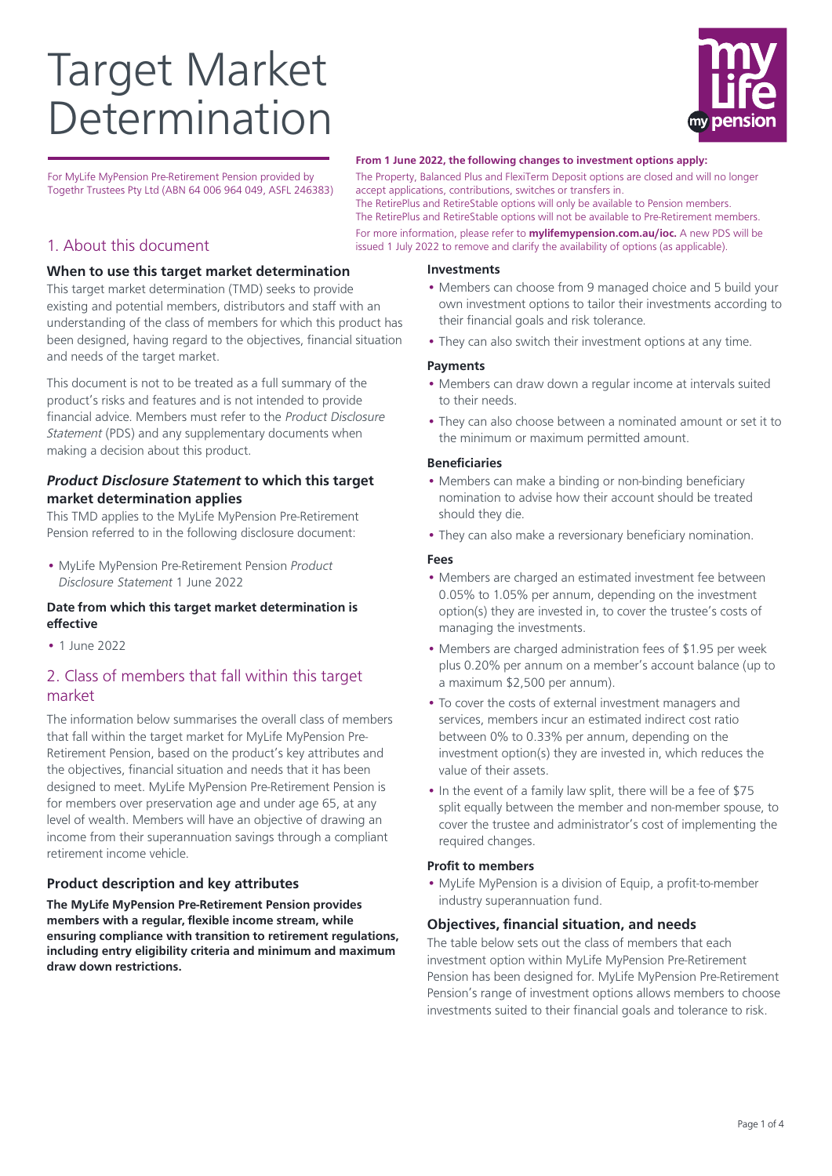# Target Market Determination



For MyLife MyPension Pre-Retirement Pension provided by Togethr Trustees Pty Ltd (ABN 64 006 964 049, ASFL 246383)

## 1. About this document

## **When to use this target market determination**

This target market determination (TMD) seeks to provide existing and potential members, distributors and staff with an understanding of the class of members for which this product has been designed, having regard to the objectives, financial situation and needs of the target market.

This document is not to be treated as a full summary of the product's risks and features and is not intended to provide financial advice. Members must refer to the Product Disclosure Statement (PDS) and any supplementary documents when making a decision about this product.

## **Product Disclosure Statement to which this target market determination applies**

This TMD applies to the MyLife MyPension Pre-Retirement Pension referred to in the following disclosure document:

• MyLife MyPension Pre-Retirement Pension Product Disclosure Statement 1 June 2022

## **Date from which this target market determination is effective**

• 1 June 2022

# 2. Class of members that fall within this target market

The information below summarises the overall class of members that fall within the target market for MyLife MyPension Pre-Retirement Pension, based on the product's key attributes and the objectives, financial situation and needs that it has been designed to meet. MyLife MyPension Pre-Retirement Pension is for members over preservation age and under age 65, at any level of wealth. Members will have an objective of drawing an income from their superannuation savings through a compliant retirement income vehicle.

## **Product description and key attributes**

**The MyLife MyPension Pre-Retirement Pension provides members with a regular, flexible income stream, while ensuring compliance with transition to retirement regulations, including entry eligibility criteria and minimum and maximum draw down restrictions.**

#### **From 1 June 2022, the following changes to investment options apply:**

The Property, Balanced Plus and FlexiTerm Deposit options are closed and will no longer accept applications, contributions, switches or transfers in.

The RetirePlus and RetireStable options will only be available to Pension members. The RetirePlus and RetireStable options will not be available to Pre-Retirement members. For more information, please refer to **mylifemypension.com.au/ioc.** A new PDS will be issued 1 July 2022 to remove and clarify the availability of options (as applicable).

#### **Investments**

- Members can choose from 9 managed choice and 5 build your own investment options to tailor their investments according to their financial goals and risk tolerance.
- They can also switch their investment options at any time.

#### **Payments**

- Members can draw down a regular income at intervals suited to their needs.
- They can also choose between a nominated amount or set it to the minimum or maximum permitted amount.

#### **Beneficiaries**

- Members can make a binding or non-binding beneficiary nomination to advise how their account should be treated should they die.
- They can also make a reversionary beneficiary nomination.

#### **Fees**

- Members are charged an estimated investment fee between 0.05% to 1.05% per annum, depending on the investment option(s) they are invested in, to cover the trustee's costs of managing the investments.
- Members are charged administration fees of \$1.95 per week plus 0.20% per annum on a member's account balance (up to a maximum \$2,500 per annum).
- To cover the costs of external investment managers and services, members incur an estimated indirect cost ratio between 0% to 0.33% per annum, depending on the investment option(s) they are invested in, which reduces the value of their assets.
- In the event of a family law split, there will be a fee of \$75 split equally between the member and non-member spouse, to cover the trustee and administrator's cost of implementing the required changes.

#### **Profit to members**

• MyLife MyPension is a division of Equip, a profit-to-member industry superannuation fund.

#### **Objectives, financial situation, and needs**

The table below sets out the class of members that each investment option within MyLife MyPension Pre-Retirement Pension has been designed for. MyLife MyPension Pre-Retirement Pension's range of investment options allows members to choose investments suited to their financial goals and tolerance to risk.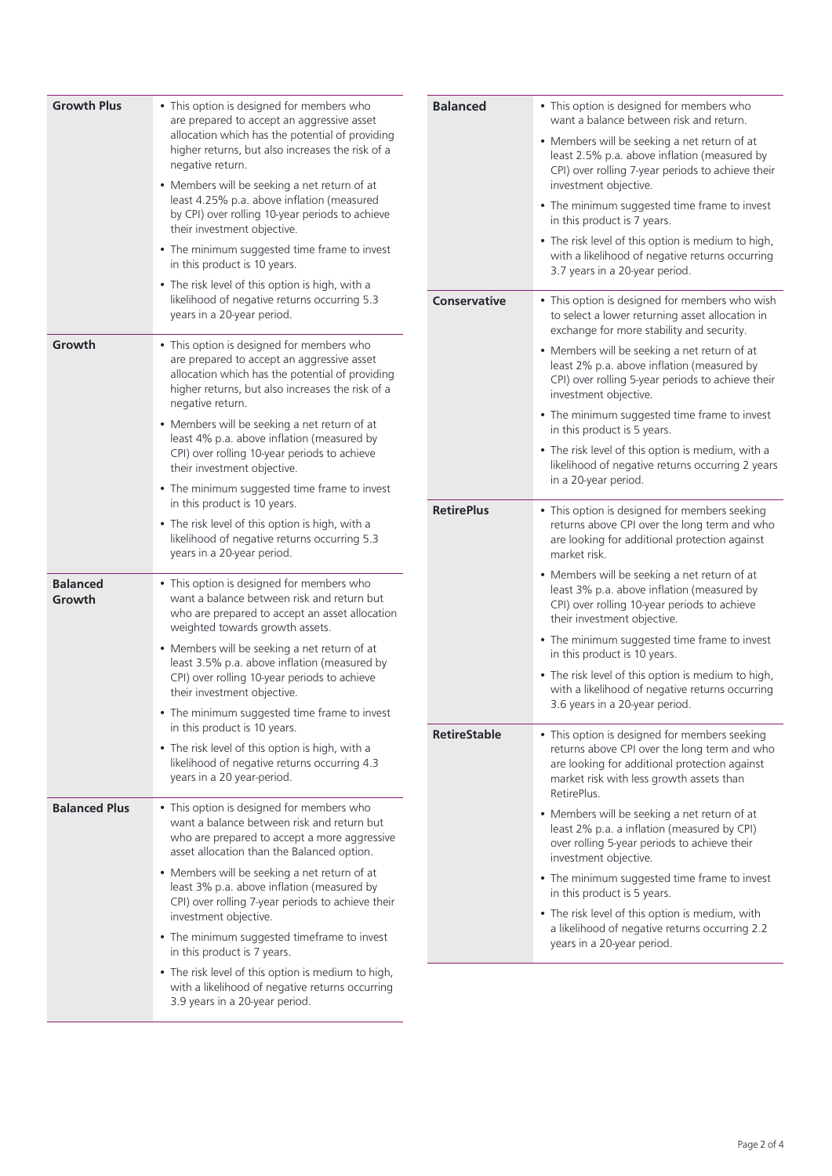| <b>Growth Plus</b>        | • This option is designed for members who<br>are prepared to accept an aggressive asset                                                                                                                            | <b>Balanced</b>     | • This option is designed for members who<br>want a balance between risk and return.                                                                                                                                  |
|---------------------------|--------------------------------------------------------------------------------------------------------------------------------------------------------------------------------------------------------------------|---------------------|-----------------------------------------------------------------------------------------------------------------------------------------------------------------------------------------------------------------------|
|                           | allocation which has the potential of providing<br>higher returns, but also increases the risk of a<br>negative return.                                                                                            |                     | • Members will be seeking a net return of at<br>least 2.5% p.a. above inflation (measured by<br>CPI) over rolling 7-year periods to achieve their                                                                     |
|                           | • Members will be seeking a net return of at<br>least 4.25% p.a. above inflation (measured<br>by CPI) over rolling 10-year periods to achieve<br>their investment objective.                                       |                     | investment objective.<br>• The minimum suggested time frame to invest<br>in this product is 7 years.                                                                                                                  |
|                           | • The minimum suggested time frame to invest<br>in this product is 10 years.                                                                                                                                       |                     | • The risk level of this option is medium to high,<br>with a likelihood of negative returns occurring<br>3.7 years in a 20-year period.                                                                               |
|                           | • The risk level of this option is high, with a<br>likelihood of negative returns occurring 5.3<br>years in a 20-year period.                                                                                      | <b>Conservative</b> | • This option is designed for members who wish<br>to select a lower returning asset allocation in                                                                                                                     |
| Growth                    | • This option is designed for members who<br>are prepared to accept an aggressive asset<br>allocation which has the potential of providing<br>higher returns, but also increases the risk of a<br>negative return. |                     | exchange for more stability and security.<br>• Members will be seeking a net return of at<br>least 2% p.a. above inflation (measured by<br>CPI) over rolling 5-year periods to achieve their<br>investment objective. |
|                           | • Members will be seeking a net return of at<br>least 4% p.a. above inflation (measured by<br>CPI) over rolling 10-year periods to achieve<br>their investment objective.                                          |                     | • The minimum suggested time frame to invest<br>in this product is 5 years.<br>• The risk level of this option is medium, with a<br>likelihood of negative returns occurring 2 years                                  |
|                           | • The minimum suggested time frame to invest<br>in this product is 10 years.                                                                                                                                       | <b>RetirePlus</b>   | in a 20-year period.<br>• This option is designed for members seeking                                                                                                                                                 |
|                           | • The risk level of this option is high, with a<br>likelihood of negative returns occurring 5.3<br>years in a 20-year period.                                                                                      |                     | returns above CPI over the long term and who<br>are looking for additional protection against<br>market risk.                                                                                                         |
| <b>Balanced</b><br>Growth | • This option is designed for members who<br>want a balance between risk and return but<br>who are prepared to accept an asset allocation<br>weighted towards growth assets.                                       |                     | • Members will be seeking a net return of at<br>least 3% p.a. above inflation (measured by<br>CPI) over rolling 10-year periods to achieve<br>their investment objective.                                             |
|                           | • Members will be seeking a net return of at<br>least 3.5% p.a. above inflation (measured by                                                                                                                       |                     | • The minimum suggested time frame to invest<br>in this product is 10 years.                                                                                                                                          |
|                           | CPI) over rolling 10-year periods to achieve<br>their investment objective.                                                                                                                                        |                     | • The risk level of this option is medium to high,<br>with a likelihood of negative returns occurring<br>3.6 years in a 20-year period.                                                                               |
|                           | • The minimum suggested time frame to invest<br>in this product is 10 years.                                                                                                                                       | <b>RetireStable</b> | • This option is designed for members seeking                                                                                                                                                                         |
|                           | • The risk level of this option is high, with a<br>likelihood of negative returns occurring 4.3<br>years in a 20 year-period.                                                                                      |                     | returns above CPI over the long term and who<br>are looking for additional protection against<br>market risk with less growth assets than<br>RetirePlus.                                                              |
| <b>Balanced Plus</b>      | • This option is designed for members who<br>want a balance between risk and return but<br>who are prepared to accept a more aggressive<br>asset allocation than the Balanced option.                              |                     | • Members will be seeking a net return of at<br>least 2% p.a. a inflation (measured by CPI)<br>over rolling 5-year periods to achieve their<br>investment objective.                                                  |
|                           | • Members will be seeking a net return of at<br>least 3% p.a. above inflation (measured by<br>CPI) over rolling 7-year periods to achieve their                                                                    |                     | • The minimum suggested time frame to invest<br>in this product is 5 years.                                                                                                                                           |
|                           | investment objective.<br>• The minimum suggested timeframe to invest<br>in this product is 7 years.                                                                                                                |                     | • The risk level of this option is medium, with<br>a likelihood of negative returns occurring 2.2<br>years in a 20-year period.                                                                                       |
|                           | • The risk level of this option is medium to high,<br>with a likelihood of negative returns occurring<br>3.9 years in a 20-year period.                                                                            |                     |                                                                                                                                                                                                                       |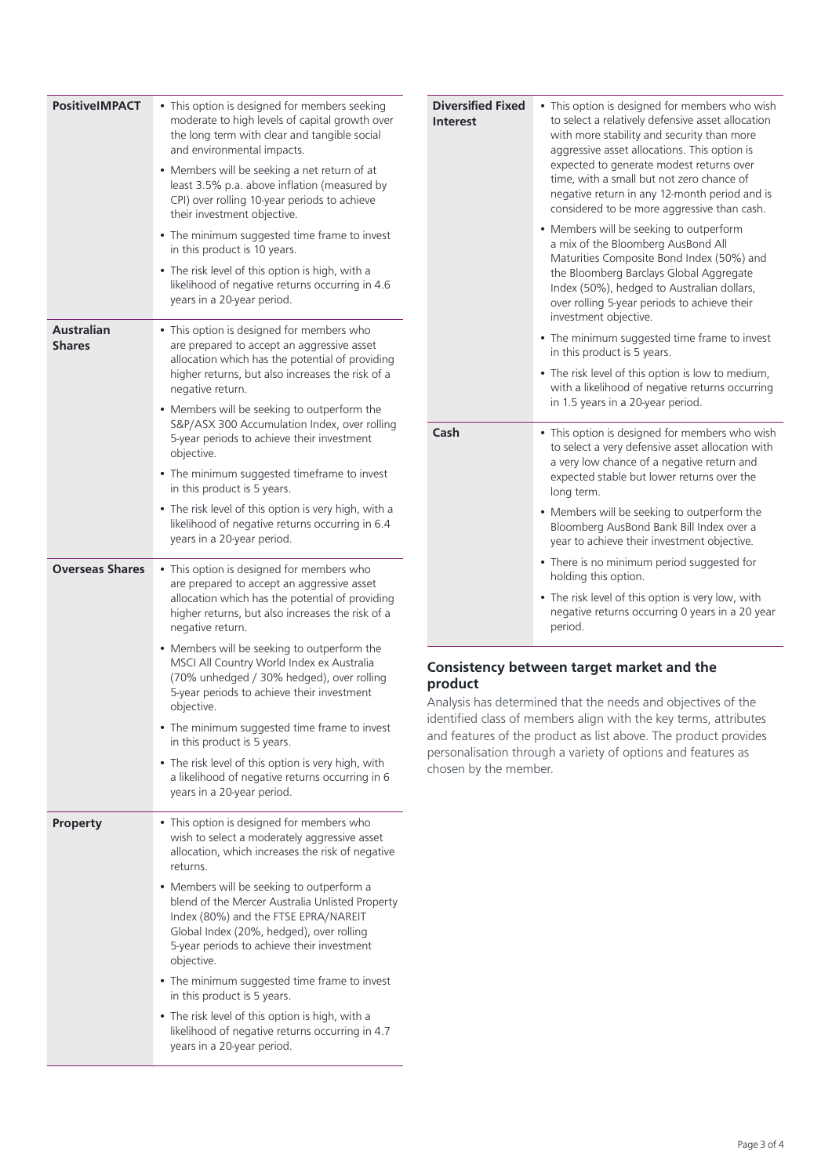| <b>PositiveIMPACT</b>              | • This option is designed for members seeking<br>moderate to high levels of capital growth over<br>the long term with clear and tangible social<br>and environmental impacts.<br>• Members will be seeking a net return of at<br>least 3.5% p.a. above inflation (measured by<br>CPI) over rolling 10-year periods to achieve<br>their investment objective. | Div<br>Int         |
|------------------------------------|--------------------------------------------------------------------------------------------------------------------------------------------------------------------------------------------------------------------------------------------------------------------------------------------------------------------------------------------------------------|--------------------|
|                                    | • The minimum suggested time frame to invest<br>in this product is 10 years.<br>• The risk level of this option is high, with a<br>likelihood of negative returns occurring in 4.6<br>years in a 20-year period.                                                                                                                                             |                    |
| <b>Australian</b><br><b>Shares</b> | • This option is designed for members who<br>are prepared to accept an aggressive asset<br>allocation which has the potential of providing<br>higher returns, but also increases the risk of a<br>negative return.                                                                                                                                           |                    |
|                                    | • Members will be seeking to outperform the<br>S&P/ASX 300 Accumulation Index, over rolling<br>5-year periods to achieve their investment<br>objective.                                                                                                                                                                                                      | Cas                |
|                                    | • The minimum suggested timeframe to invest<br>in this product is 5 years.                                                                                                                                                                                                                                                                                   |                    |
|                                    | • The risk level of this option is very high, with a<br>likelihood of negative returns occurring in 6.4<br>years in a 20-year period.                                                                                                                                                                                                                        |                    |
| <b>Overseas Shares</b>             | This option is designed for members who<br>٠<br>are prepared to accept an aggressive asset<br>allocation which has the potential of providing<br>higher returns, but also increases the risk of a<br>negative return.                                                                                                                                        |                    |
|                                    | • Members will be seeking to outperform the<br>MSCI All Country World Index ex Australia<br>(70% unhedged / 30% hedged), over rolling<br>5-year periods to achieve their investment<br>objective.                                                                                                                                                            | Con<br>pro<br>Anal |
|                                    | • The minimum suggested time frame to invest<br>in this product is 5 years.                                                                                                                                                                                                                                                                                  | iden<br>and        |
|                                    | • The risk level of this option is very high, with<br>a likelihood of negative returns occurring in 6<br>years in a 20-year period.                                                                                                                                                                                                                          | pers<br>chos       |
| <b>Property</b>                    | • This option is designed for members who<br>wish to select a moderately aggressive asset<br>allocation, which increases the risk of negative<br>returns.                                                                                                                                                                                                    |                    |
|                                    | • Members will be seeking to outperform a<br>blend of the Mercer Australia Unlisted Property<br>Index (80%) and the FTSE EPRA/NAREIT<br>Global Index (20%, hedged), over rolling<br>5-year periods to achieve their investment<br>objective.                                                                                                                 |                    |
|                                    | • The minimum suggested time frame to invest<br>in this product is 5 years.                                                                                                                                                                                                                                                                                  |                    |
|                                    | • The risk level of this option is high, with a<br>likelihood of negative returns occurring in 4.7<br>years in a 20-year period.                                                                                                                                                                                                                             |                    |

| <b>Diversified Fixed</b><br><b>Interest</b> | • This option is designed for members who wish<br>to select a relatively defensive asset allocation<br>with more stability and security than more<br>aggressive asset allocations. This option is<br>expected to generate modest returns over<br>time, with a small but not zero chance of<br>negative return in any 12-month period and is<br>considered to be more aggressive than cash. |
|---------------------------------------------|--------------------------------------------------------------------------------------------------------------------------------------------------------------------------------------------------------------------------------------------------------------------------------------------------------------------------------------------------------------------------------------------|
|                                             | • Members will be seeking to outperform<br>a mix of the Bloomberg AusBond All<br>Maturities Composite Bond Index (50%) and<br>the Bloomberg Barclays Global Aggregate<br>Index (50%), hedged to Australian dollars,<br>over rolling 5-year periods to achieve their<br>investment objective.                                                                                               |
|                                             | • The minimum suggested time frame to invest<br>in this product is 5 years.                                                                                                                                                                                                                                                                                                                |
|                                             | • The risk level of this option is low to medium,<br>with a likelihood of negative returns occurring<br>in 1.5 years in a 20-year period.                                                                                                                                                                                                                                                  |
| Cash                                        | • This option is designed for members who wish<br>to select a very defensive asset allocation with<br>a very low chance of a negative return and<br>expected stable but lower returns over the<br>long term.                                                                                                                                                                               |
|                                             | • Members will be seeking to outperform the<br>Bloomberg AusBond Bank Bill Index over a<br>year to achieve their investment objective.                                                                                                                                                                                                                                                     |
|                                             | • There is no minimum period suggested for<br>holding this option.                                                                                                                                                                                                                                                                                                                         |
|                                             | • The risk level of this option is very low, with<br>negative returns occurring 0 years in a 20 year<br>period.                                                                                                                                                                                                                                                                            |
|                                             |                                                                                                                                                                                                                                                                                                                                                                                            |

## **Consistency between target market and the product**

lysis has determined that the needs and objectives of the itified class of members align with the key terms, attributes features of the product as list above. The product provides sonalisation through a variety of options and features as sen by the member.